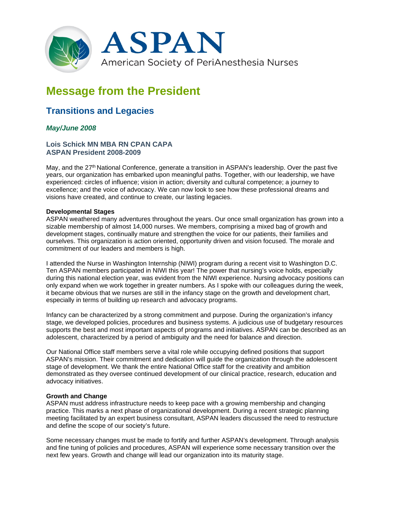

# **Message from the President**

# **Transitions and Legacies**

## *May/June 2008*

### **Lois Schick MN MBA RN CPAN CAPA ASPAN President 2008-2009**

May, and the 27th National Conference, generate a transition in ASPAN's leadership. Over the past five years, our organization has embarked upon meaningful paths. Together, with our leadership, we have experienced: circles of influence; vision in action; diversity and cultural competence; a journey to excellence; and the voice of advocacy. We can now look to see how these professional dreams and visions have created, and continue to create, our lasting legacies.

#### **Developmental Stages**

ASPAN weathered many adventures throughout the years. Our once small organization has grown into a sizable membership of almost 14,000 nurses. We members, comprising a mixed bag of growth and development stages, continually mature and strengthen the voice for our patients, their families and ourselves. This organization is action oriented, opportunity driven and vision focused. The morale and commitment of our leaders and members is high.

I attended the Nurse in Washington Internship (NIWI) program during a recent visit to Washington D.C. Ten ASPAN members participated in NIWI this year! The power that nursing's voice holds, especially during this national election year, was evident from the NIWI experience. Nursing advocacy positions can only expand when we work together in greater numbers. As I spoke with our colleagues during the week, it became obvious that we nurses are still in the infancy stage on the growth and development chart, especially in terms of building up research and advocacy programs.

Infancy can be characterized by a strong commitment and purpose. During the organization's infancy stage, we developed policies, procedures and business systems. A judicious use of budgetary resources supports the best and most important aspects of programs and initiatives. ASPAN can be described as an adolescent, characterized by a period of ambiguity and the need for balance and direction.

Our National Office staff members serve a vital role while occupying defined positions that support ASPAN's mission. Their commitment and dedication will guide the organization through the adolescent stage of development. We thank the entire National Office staff for the creativity and ambition demonstrated as they oversee continued development of our clinical practice, research, education and advocacy initiatives.

### **Growth and Change**

ASPAN must address infrastructure needs to keep pace with a growing membership and changing practice. This marks a next phase of organizational development. During a recent strategic planning meeting facilitated by an expert business consultant, ASPAN leaders discussed the need to restructure and define the scope of our society's future.

Some necessary changes must be made to fortify and further ASPAN's development. Through analysis and fine tuning of policies and procedures, ASPAN will experience some necessary transition over the next few years. Growth and change will lead our organization into its maturity stage.